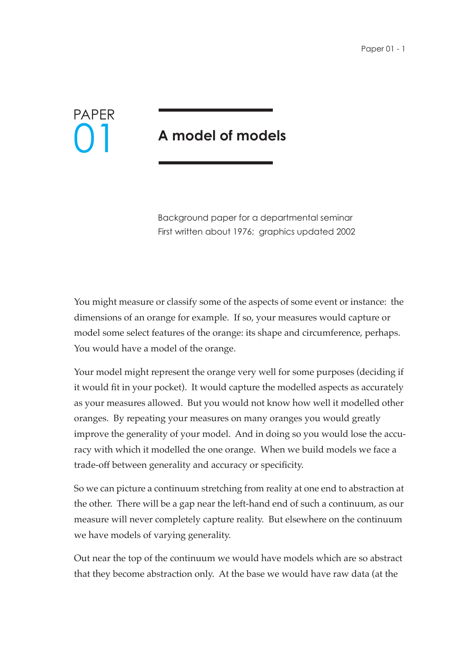## PAPER 01

## **A model of models**

Background paper for a departmental seminar First written about 1976; graphics updated 2002

You might measure or classify some of the aspects of some event or instance: the dimensions of an orange for example. If so, your measures would capture or model some select features of the orange: its shape and circumference, perhaps. You would have a model of the orange.

Your model might represent the orange very well for some purposes (deciding if it would fit in your pocket). It would capture the modelled aspects as accurately as your measures allowed. But you would not know how well it modelled other oranges. By repeating your measures on many oranges you would greatly improve the generality of your model. And in doing so you would lose the accuracy with which it modelled the one orange. When we build models we face a trade-off between generality and accuracy or specificity.

So we can picture a continuum stretching from reality at one end to abstraction at the other. There will be a gap near the left-hand end of such a continuum, as our measure will never completely capture reality. But elsewhere on the continuum we have models of varying generality.

Out near the top of the continuum we would have models which are so abstract that they become abstraction only. At the base we would have raw data (at the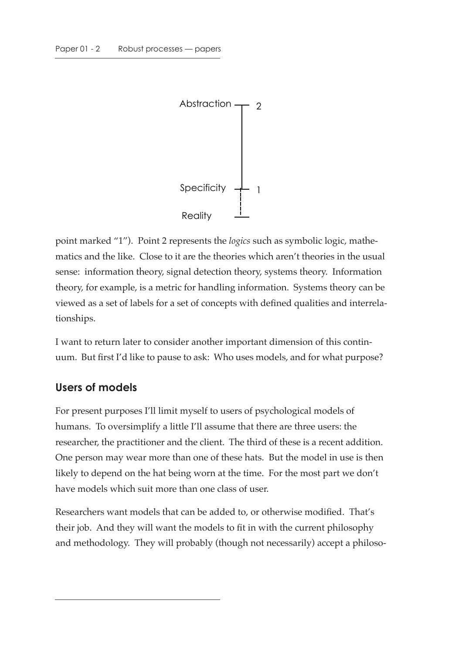

point marked "1"). Point 2 represents the *logics* such as symbolic logic, mathematics and the like. Close to it are the theories which aren't theories in the usual sense: information theory, signal detection theory, systems theory. Information theory, for example, is a metric for handling information. Systems theory can be viewed as a set of labels for a set of concepts with defined qualities and interrelationships.

I want to return later to consider another important dimension of this continuum. But first I'd like to pause to ask: Who uses models, and for what purpose?

## **Users of models**

For present purposes I'll limit myself to users of psychological models of humans. To oversimplify a little I'll assume that there are three users: the researcher, the practitioner and the client. The third of these is a recent addition. One person may wear more than one of these hats. But the model in use is then likely to depend on the hat being worn at the time. For the most part we don't have models which suit more than one class of user.

Researchers want models that can be added to, or otherwise modified. That's their job. And they will want the models to fit in with the current philosophy and methodology. They will probably (though not necessarily) accept a philoso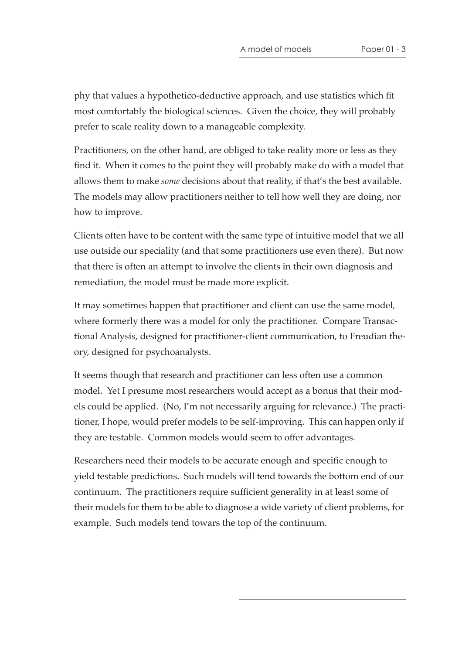phy that values a hypothetico-deductive approach, and use statistics which fit most comfortably the biological sciences. Given the choice, they will probably prefer to scale reality down to a manageable complexity.

Practitioners, on the other hand, are obliged to take reality more or less as they find it. When it comes to the point they will probably make do with a model that allows them to make *some* decisions about that reality, if that's the best available. The models may allow practitioners neither to tell how well they are doing, nor how to improve.

Clients often have to be content with the same type of intuitive model that we all use outside our speciality (and that some practitioners use even there). But now that there is often an attempt to involve the clients in their own diagnosis and remediation, the model must be made more explicit.

It may sometimes happen that practitioner and client can use the same model, where formerly there was a model for only the practitioner. Compare Transactional Analysis, designed for practitioner-client communication, to Freudian theory, designed for psychoanalysts.

It seems though that research and practitioner can less often use a common model. Yet I presume most researchers would accept as a bonus that their models could be applied. (No, I'm not necessarily arguing for relevance.) The practitioner, I hope, would prefer models to be self-improving. This can happen only if they are testable. Common models would seem to offer advantages.

Researchers need their models to be accurate enough and specific enough to yield testable predictions. Such models will tend towards the bottom end of our continuum. The practitioners require sufficient generality in at least some of their models for them to be able to diagnose a wide variety of client problems, for example. Such models tend towars the top of the continuum.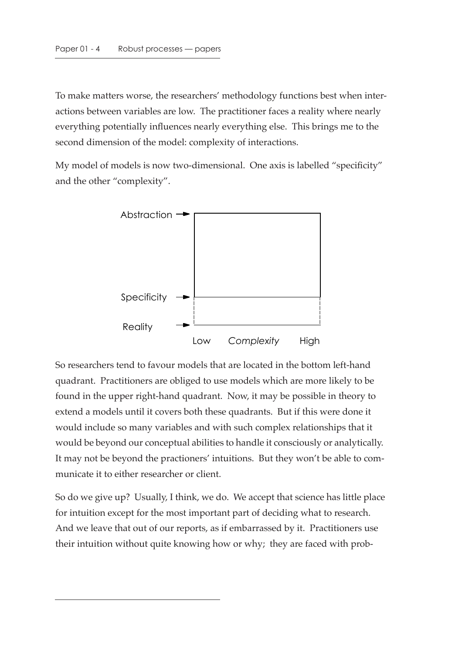To make matters worse, the researchers' methodology functions best when interactions between variables are low. The practitioner faces a reality where nearly everything potentially influences nearly everything else. This brings me to the second dimension of the model: complexity of interactions.

My model of models is now two-dimensional. One axis is labelled "specificity" and the other "complexity".



So researchers tend to favour models that are located in the bottom left-hand quadrant. Practitioners are obliged to use models which are more likely to be found in the upper right-hand quadrant. Now, it may be possible in theory to extend a models until it covers both these quadrants. But if this were done it would include so many variables and with such complex relationships that it would be beyond our conceptual abilities to handle it consciously or analytically. It may not be beyond the practioners' intuitions. But they won't be able to communicate it to either researcher or client.

So do we give up? Usually, I think, we do. We accept that science has little place for intuition except for the most important part of deciding what to research. And we leave that out of our reports, as if embarrassed by it. Practitioners use their intuition without quite knowing how or why; they are faced with prob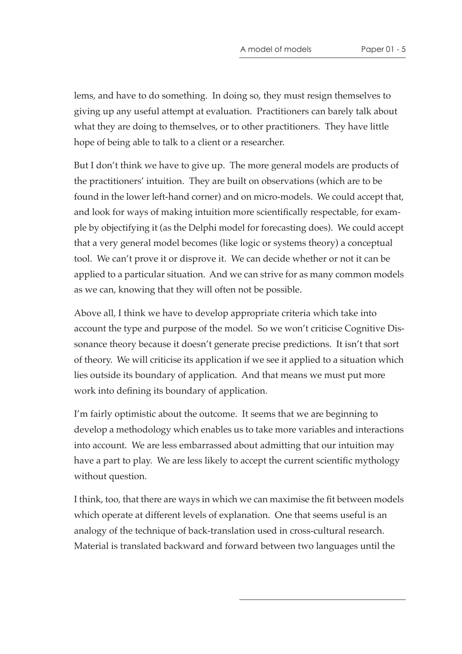lems, and have to do something. In doing so, they must resign themselves to giving up any useful attempt at evaluation. Practitioners can barely talk about what they are doing to themselves, or to other practitioners. They have little hope of being able to talk to a client or a researcher.

But I don't think we have to give up. The more general models are products of the practitioners' intuition. They are built on observations (which are to be found in the lower left-hand corner) and on micro-models. We could accept that, and look for ways of making intuition more scientifically respectable, for example by objectifying it (as the Delphi model for forecasting does). We could accept that a very general model becomes (like logic or systems theory) a conceptual tool. We can't prove it or disprove it. We can decide whether or not it can be applied to a particular situation. And we can strive for as many common models as we can, knowing that they will often not be possible.

Above all, I think we have to develop appropriate criteria which take into account the type and purpose of the model. So we won't criticise Cognitive Dissonance theory because it doesn't generate precise predictions. It isn't that sort of theory. We will criticise its application if we see it applied to a situation which lies outside its boundary of application. And that means we must put more work into defining its boundary of application.

I'm fairly optimistic about the outcome. It seems that we are beginning to develop a methodology which enables us to take more variables and interactions into account. We are less embarrassed about admitting that our intuition may have a part to play. We are less likely to accept the current scientific mythology without question.

I think, too, that there are ways in which we can maximise the fit between models which operate at different levels of explanation. One that seems useful is an analogy of the technique of back-translation used in cross-cultural research. Material is translated backward and forward between two languages until the